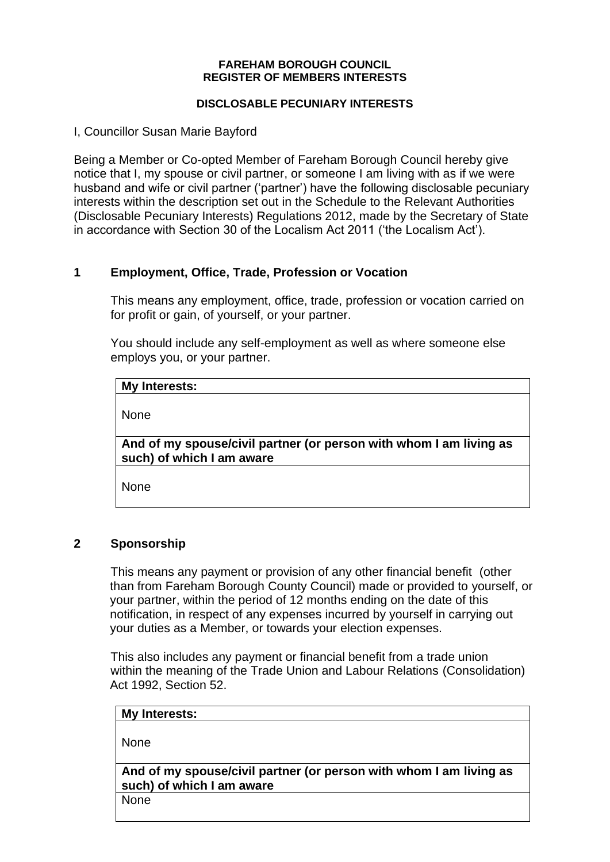#### **FAREHAM BOROUGH COUNCIL REGISTER OF MEMBERS INTERESTS**

#### **DISCLOSABLE PECUNIARY INTERESTS**

I, Councillor Susan Marie Bayford

Being a Member or Co-opted Member of Fareham Borough Council hereby give notice that I, my spouse or civil partner, or someone I am living with as if we were husband and wife or civil partner ('partner') have the following disclosable pecuniary interests within the description set out in the Schedule to the Relevant Authorities (Disclosable Pecuniary Interests) Regulations 2012, made by the Secretary of State in accordance with Section 30 of the Localism Act 2011 ('the Localism Act').

# **1 Employment, Office, Trade, Profession or Vocation**

This means any employment, office, trade, profession or vocation carried on for profit or gain, of yourself, or your partner.

You should include any self-employment as well as where someone else employs you, or your partner.

#### **My Interests:**

None

**And of my spouse/civil partner (or person with whom I am living as such) of which I am aware**

None

## **2 Sponsorship**

This means any payment or provision of any other financial benefit (other than from Fareham Borough County Council) made or provided to yourself, or your partner, within the period of 12 months ending on the date of this notification, in respect of any expenses incurred by yourself in carrying out your duties as a Member, or towards your election expenses.

This also includes any payment or financial benefit from a trade union within the meaning of the Trade Union and Labour Relations (Consolidation) Act 1992, Section 52.

| My Interests:                                                                                   |
|-------------------------------------------------------------------------------------------------|
| l None                                                                                          |
| And of my spouse/civil partner (or person with whom I am living as<br>such) of which I am aware |

None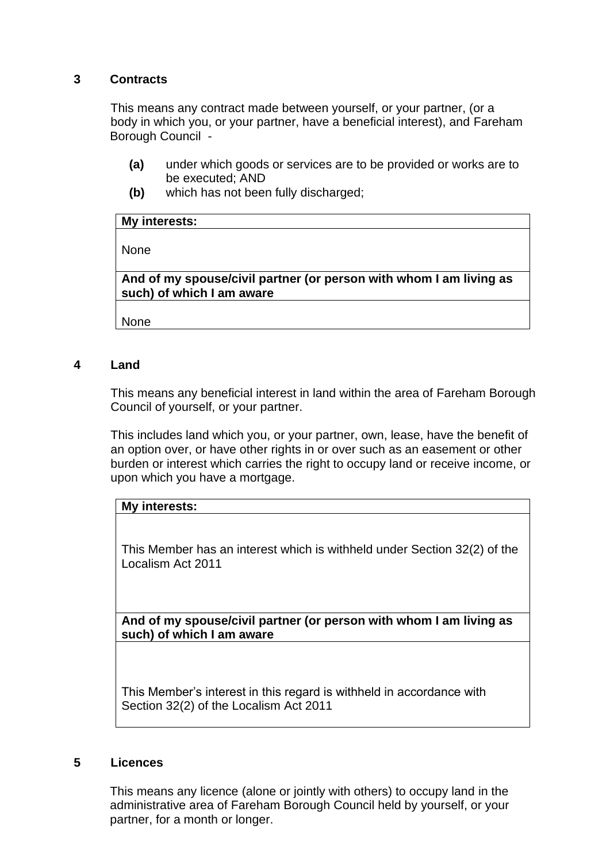# **3 Contracts**

This means any contract made between yourself, or your partner, (or a body in which you, or your partner, have a beneficial interest), and Fareham Borough Council -

- **(a)** under which goods or services are to be provided or works are to be executed; AND
- **(b)** which has not been fully discharged;

| My interests: |  |  |  |
|---------------|--|--|--|
|---------------|--|--|--|

None

**And of my spouse/civil partner (or person with whom I am living as such) of which I am aware**

None

## **4 Land**

This means any beneficial interest in land within the area of Fareham Borough Council of yourself, or your partner.

This includes land which you, or your partner, own, lease, have the benefit of an option over, or have other rights in or over such as an easement or other burden or interest which carries the right to occupy land or receive income, or upon which you have a mortgage.

## **My interests:**

This Member has an interest which is withheld under Section 32(2) of the Localism Act 2011

**And of my spouse/civil partner (or person with whom I am living as such) of which I am aware**

This Member's interest in this regard is withheld in accordance with Section 32(2) of the Localism Act 2011

#### **5 Licences**

This means any licence (alone or jointly with others) to occupy land in the administrative area of Fareham Borough Council held by yourself, or your partner, for a month or longer.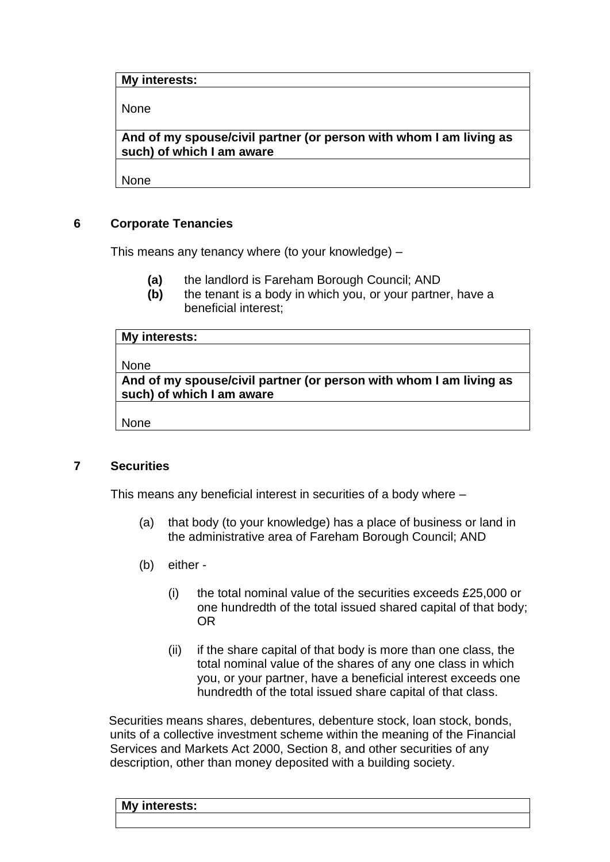### **My interests:**

None

**And of my spouse/civil partner (or person with whom I am living as such) of which I am aware**

None

## **6 Corporate Tenancies**

This means any tenancy where (to your knowledge) –

- **(a)** the landlord is Fareham Borough Council; AND
- **(b)** the tenant is a body in which you, or your partner, have a beneficial interest;

| My interests:                                                      |  |  |
|--------------------------------------------------------------------|--|--|
|                                                                    |  |  |
| None                                                               |  |  |
| And of my spouse/civil partner (or person with whom I am living as |  |  |
| such) of which I am aware                                          |  |  |

None

## **7 Securities**

This means any beneficial interest in securities of a body where –

- (a) that body (to your knowledge) has a place of business or land in the administrative area of Fareham Borough Council; AND
- (b) either
	- (i) the total nominal value of the securities exceeds £25,000 or one hundredth of the total issued shared capital of that body; OR
	- (ii) if the share capital of that body is more than one class, the total nominal value of the shares of any one class in which you, or your partner, have a beneficial interest exceeds one hundredth of the total issued share capital of that class.

Securities means shares, debentures, debenture stock, loan stock, bonds, units of a collective investment scheme within the meaning of the Financial Services and Markets Act 2000, Section 8, and other securities of any description, other than money deposited with a building society.

# **My interests:**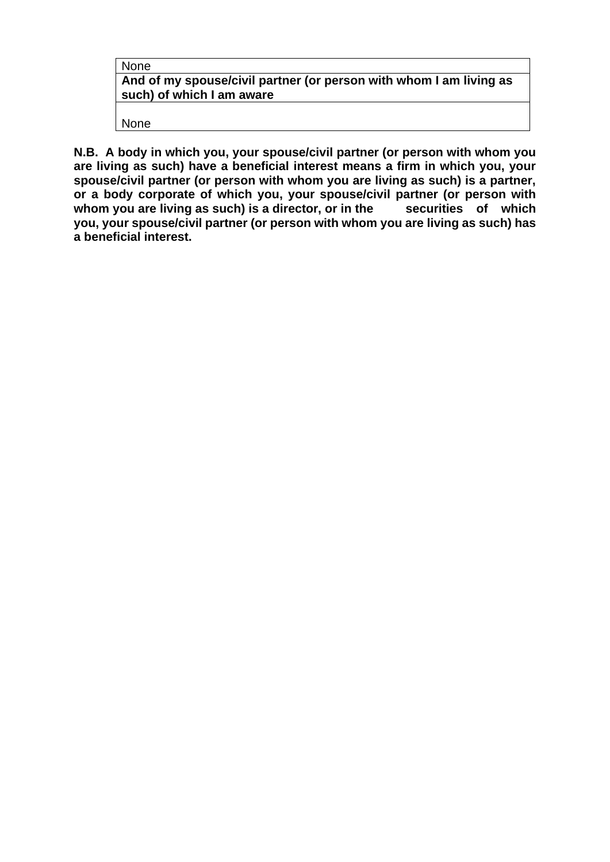| on |  |
|----|--|
|----|--|

**And of my spouse/civil partner (or person with whom I am living as such) of which I am aware**

None

**N.B. A body in which you, your spouse/civil partner (or person with whom you are living as such) have a beneficial interest means a firm in which you, your spouse/civil partner (or person with whom you are living as such) is a partner, or a body corporate of which you, your spouse/civil partner (or person with**  whom you are living as such) is a director, or in the **you, your spouse/civil partner (or person with whom you are living as such) has a beneficial interest.**